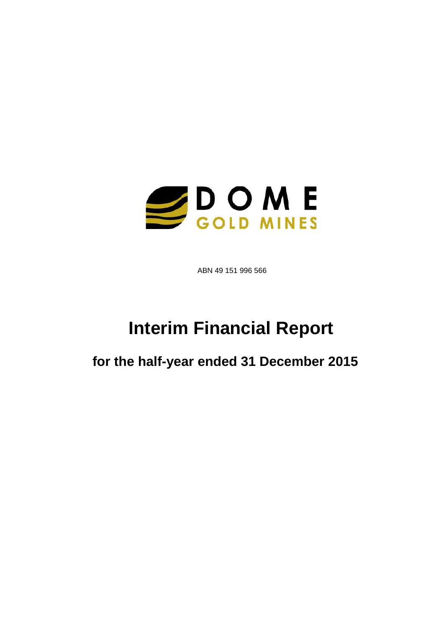

ABN 49 151 996 566

# **Interim Financial Report**

**for the half-year ended 31 December 2015**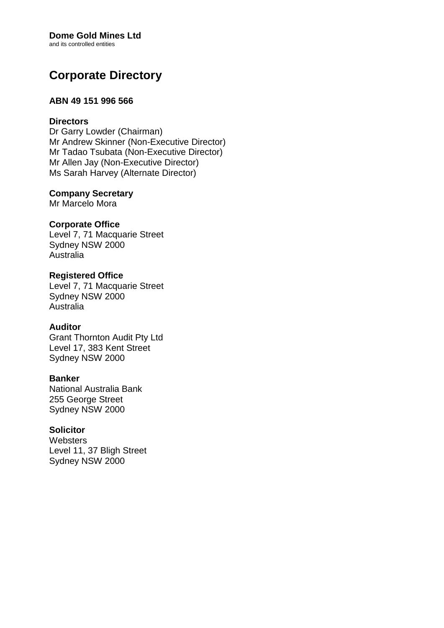# **Dome Gold Mines Ltd**

and its controlled entities

# **Corporate Directory**

# **ABN 49 151 996 566**

# **Directors**

Dr Garry Lowder (Chairman) Mr Andrew Skinner (Non-Executive Director) Mr Tadao Tsubata (Non-Executive Director) Mr Allen Jay (Non-Executive Director) Ms Sarah Harvey (Alternate Director)

# **Company Secretary**

Mr Marcelo Mora

# **Corporate Office**

Level 7, 71 Macquarie Street Sydney NSW 2000 Australia

# **Registered Office** Level 7, 71 Macquarie Street

Sydney NSW 2000 Australia

# **Auditor**

Grant Thornton Audit Pty Ltd Level 17, 383 Kent Street Sydney NSW 2000

# **Banker**

National Australia Bank 255 George Street Sydney NSW 2000

# **Solicitor**

**Websters** Level 11, 37 Bligh Street Sydney NSW 2000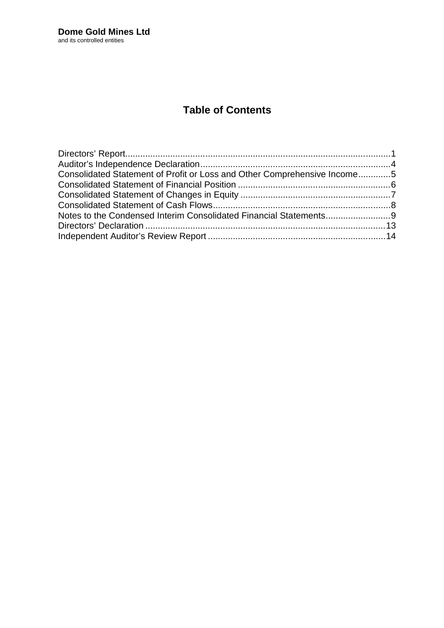# **Table of Contents**

| Consolidated Statement of Profit or Loss and Other Comprehensive Income5 |  |
|--------------------------------------------------------------------------|--|
|                                                                          |  |
|                                                                          |  |
|                                                                          |  |
|                                                                          |  |
|                                                                          |  |
|                                                                          |  |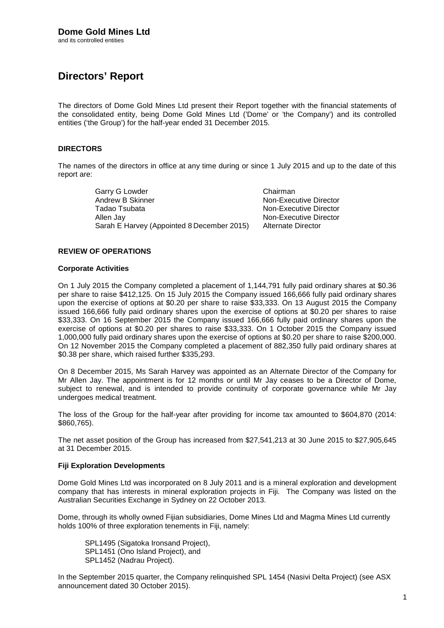# **Directors' Report**

The directors of Dome Gold Mines Ltd present their Report together with the financial statements of the consolidated entity, being Dome Gold Mines Ltd ('Dome' or 'the Company') and its controlled entities ('the Group') for the half-year ended 31 December 2015.

## **DIRECTORS**

The names of the directors in office at any time during or since 1 July 2015 and up to the date of this report are:

> Garry G Lowder Chairman<br>
> Andrew B Skinner Chairman<br>
> Non-Exec Andrew B Skinner Mon-Executive Director<br>
> Tadao Tsubata Mon-Executive Director<br>
> Non-Executive Director Allen Jay Non-Executive Director Sarah E Harvey (Appointed 8 December 2015) Alternate Director

Non-Executive Director

### **REVIEW OF OPERATIONS**

### **Corporate Activities**

On 1 July 2015 the Company completed a placement of 1,144,791 fully paid ordinary shares at \$0.36 per share to raise \$412,125. On 15 July 2015 the Company issued 166,666 fully paid ordinary shares upon the exercise of options at \$0.20 per share to raise \$33,333. On 13 August 2015 the Company issued 166,666 fully paid ordinary shares upon the exercise of options at \$0.20 per shares to raise \$33,333. On 16 September 2015 the Company issued 166,666 fully paid ordinary shares upon the exercise of options at \$0.20 per shares to raise \$33,333. On 1 October 2015 the Company issued 1,000,000 fully paid ordinary shares upon the exercise of options at \$0.20 per share to raise \$200,000. On 12 November 2015 the Company completed a placement of 882,350 fully paid ordinary shares at \$0.38 per share, which raised further \$335,293.

On 8 December 2015, Ms Sarah Harvey was appointed as an Alternate Director of the Company for Mr Allen Jay. The appointment is for 12 months or until Mr Jay ceases to be a Director of Dome, subject to renewal, and is intended to provide continuity of corporate governance while Mr Jay undergoes medical treatment.

The loss of the Group for the half-year after providing for income tax amounted to \$604,870 (2014: \$860,765).

The net asset position of the Group has increased from \$27,541,213 at 30 June 2015 to \$27,905,645 at 31 December 2015.

## **Fiji Exploration Developments**

Dome Gold Mines Ltd was incorporated on 8 July 2011 and is a mineral exploration and development company that has interests in mineral exploration projects in Fiji. The Company was listed on the Australian Securities Exchange in Sydney on 22 October 2013.

Dome, through its wholly owned Fijian subsidiaries, Dome Mines Ltd and Magma Mines Ltd currently holds 100% of three exploration tenements in Fiji, namely:

SPL1495 (Sigatoka Ironsand Project), SPL1451 (Ono Island Project), and SPL1452 (Nadrau Project).

In the September 2015 quarter, the Company relinquished SPL 1454 (Nasivi Delta Project) (see ASX announcement dated 30 October 2015).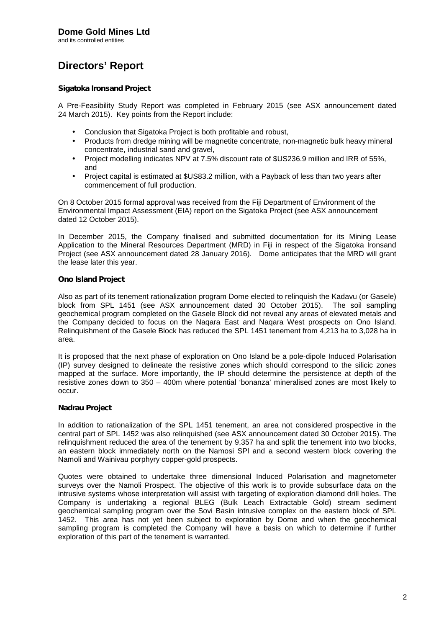and its controlled entities

# **Directors' Report**

## *Sigatoka Ironsand Project*

A Pre-Feasibility Study Report was completed in February 2015 (see ASX announcement dated 24 March 2015). Key points from the Report include:

- Conclusion that Sigatoka Project is both profitable and robust,
- Products from dredge mining will be magnetite concentrate, non-magnetic bulk heavy mineral concentrate, industrial sand and gravel,
- Project modelling indicates NPV at 7.5% discount rate of \$US236.9 million and IRR of 55%, and
- Project capital is estimated at \$US83.2 million, with a Payback of less than two years after commencement of full production.

On 8 October 2015 formal approval was received from the Fiji Department of Environment of the Environmental Impact Assessment (EIA) report on the Sigatoka Project (see ASX announcement dated 12 October 2015).

In December 2015, the Company finalised and submitted documentation for its Mining Lease Application to the Mineral Resources Department (MRD) in Fiji in respect of the Sigatoka Ironsand Project (see ASX announcement dated 28 January 2016). Dome anticipates that the MRD will grant the lease later this year.

## *Ono Island Project*

Also as part of its tenement rationalization program Dome elected to relinquish the Kadavu (or Gasele) block from SPL 1451 (see ASX announcement dated 30 October 2015). The soil sampling geochemical program completed on the Gasele Block did not reveal any areas of elevated metals and the Company decided to focus on the Naqara East and Naqara West prospects on Ono Island. Relinquishment of the Gasele Block has reduced the SPL 1451 tenement from 4,213 ha to 3,028 ha in area.

It is proposed that the next phase of exploration on Ono Island be a pole-dipole Induced Polarisation (IP) survey designed to delineate the resistive zones which should correspond to the silicic zones mapped at the surface. More importantly, the IP should determine the persistence at depth of the resistive zones down to 350 – 400m where potential 'bonanza' mineralised zones are most likely to occur.

## *Nadrau Project*

In addition to rationalization of the SPL 1451 tenement, an area not considered prospective in the central part of SPL 1452 was also relinquished (see ASX announcement dated 30 October 2015). The relinquishment reduced the area of the tenement by 9,357 ha and split the tenement into two blocks, an eastern block immediately north on the Namosi SPl and a second western block covering the Namoli and Wainivau porphyry copper-gold prospects.

Quotes were obtained to undertake three dimensional Induced Polarisation and magnetometer surveys over the Namoli Prospect. The objective of this work is to provide subsurface data on the intrusive systems whose interpretation will assist with targeting of exploration diamond drill holes. The Company is undertaking a regional BLEG (Bulk Leach Extractable Gold) stream sediment geochemical sampling program over the Sovi Basin intrusive complex on the eastern block of SPL 1452. This area has not yet been subject to exploration by Dome and when the geochemical sampling program is completed the Company will have a basis on which to determine if further exploration of this part of the tenement is warranted.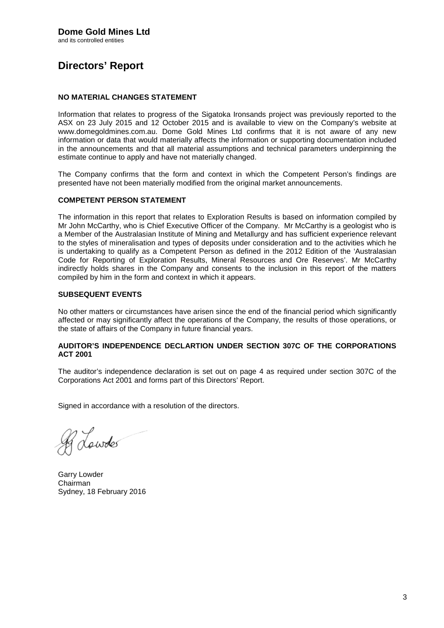# Directors€ Report

### NO MATERIAL CHANGES STATEMENT

Information that relates to progress of the Sigatoka Ironsands project was previously reported to the ASX on 23 July 2015 and 12 October 2015 and is available to view on the Company€s website at www.domegoldmines.com.au. Dome Gold Mines Ltd confirms that it is not aware of any new information or data that would materially affects the information or supporting documentation included in the announcements and that all material assumptions and technical parameters underpinning the estimate continue to apply and have not materially changed.

The Company confirms that the form and context in which the Competent Person€s findings are presented have not been materially modified from the original market announcements.

### COMPETENT PERSON STATEMENT

The information in this report that relates to Exploration Results is based on information compiled by Mr John McCarthy, who is Chief Executive Officer of the Company. Mr McCarthy is a geologist who is a Member of the Australasian Institute of Mining and Metallurgy and has sufficient experience relevant to the styles of mineralisation and types of deposits under consideration and to the activities which he is undertaking to qualify as a Competent Person as defined in the 2012 Edition of the •Australasian Code for Reporting of Exploration Results, Mineral Resources and Ore Reserves€. Mr McCarthy indirectly holds shares in the Company and consents to the inclusion in this report of the matters compiled by him in the form and context in which it appears.

### SUBSEQUENT EVENTS

No other matters or circumstances have arisen since the end of the financial period which significantly affected or may significantly affect the operations of the Company, the results of those operations, or the state of affairs of the Company in future financial years.

### AUDITOR€SINDEPENDENCE DECLARTION UNDER SECTION 307C OF THE CORPORATIONS ACT 2001

The auditor€s independence declaration is set out onpage 4 as required under section 307C of the Corporations Act 2001 and forms part of this Directors€ Report.

Signed in accordance with a resolution of the directors.

Garry Lowder Chairman Sydney, 18 February 2016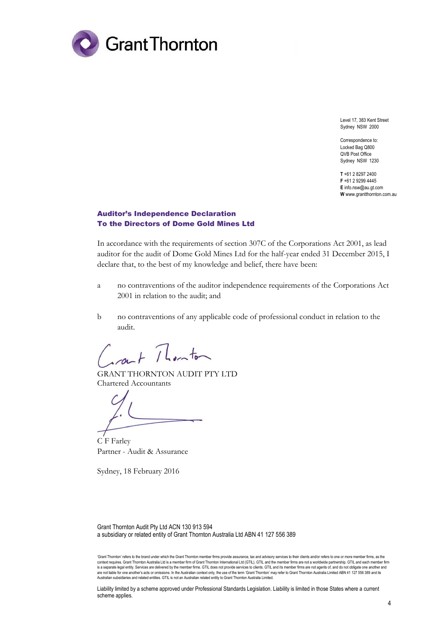

Level 17, 383 Kent Street Sydney NSW 2000

Correspondence to: Locked Bag Q800 QVB Post Office Sydney NSW 1230

**T** +61 2 8297 2400 **F** +61 2 9299 4445 **E** info.nsw@au.gt.com **W** www.grantthornton.com.au

### Auditor's Independence Declaration To the Directors of Dome Gold Mines Ltd

In accordance with the requirements of section 307C of the Corporations Act 2001, as lead auditor for the audit of Dome Gold Mines Ltd for the half-year ended 31 December 2015, I declare that, to the best of my knowledge and belief, there have been:

- a no contraventions of the auditor independence requirements of the Corporations Act 2001 in relation to the audit; and
- b no contraventions of any applicable code of professional conduct in relation to the audit.

 $7$  herator

GRANT THORNTON AUDIT PTY LTD Chartered Accountants

C F Farley Partner - Audit & Assurance

Sydney, 18 February 2016

Grant Thornton Audit Pty Ltd ACN 130 913 594 a subsidiary or related entity of Grant Thornton Australia Ltd ABN 41 127 556 389

Liability limited by a scheme approved under Professional Standards Legislation. Liability is limited in those States where a current scheme applies.

<sup>&#</sup>x27;Grant Thornton' refers to the brand under which the Grant Thornton member firms provide assurance, tax and advisory services to their clients and/or refers to one or more member firms, as the context requires. Grant Thornton Australia Ltd is a member firm of Grant Thornton International Ltd (GTIL). GTIL and the member firms are not a worldwide partnership. GTIL and each member firm<br>is a separate legal entity. S are not liable for one another's acts or omissions. In the Australian context only, the use of the term 'Grant Thornton' may refer to Grant Thornton Australia Limited ABN 41 127 556 389 and its<br>Australian subsidiaries and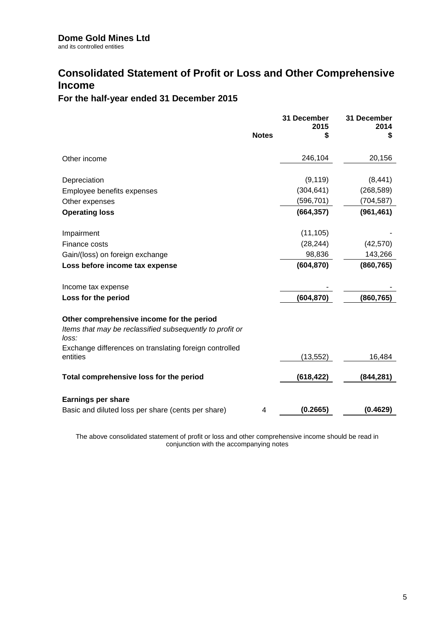# **Consolidated Statement of Profit or Loss and Other Comprehensive Income**

# **For the half-year ended 31 December 2015**

|                                                                   |              | 31 December<br>2015 | 31 December<br>2014 |
|-------------------------------------------------------------------|--------------|---------------------|---------------------|
|                                                                   | <b>Notes</b> | S                   | S                   |
| Other income                                                      |              | 246,104             | 20,156              |
| Depreciation                                                      |              | (9, 119)            | (8, 441)            |
| Employee benefits expenses                                        |              | (304, 641)          | (268, 589)          |
| Other expenses                                                    |              | (596, 701)          | (704, 587)          |
| <b>Operating loss</b>                                             |              | (664, 357)          | (961, 461)          |
| Impairment                                                        |              | (11, 105)           |                     |
| Finance costs                                                     |              | (28, 244)           | (42, 570)           |
| Gain/(loss) on foreign exchange                                   |              | 98,836              | 143,266             |
| Loss before income tax expense                                    |              | (604, 870)          | (860, 765)          |
| Income tax expense                                                |              |                     |                     |
| Loss for the period                                               |              | (604, 870)          | (860, 765)          |
| Other comprehensive income for the period                         |              |                     |                     |
| Items that may be reclassified subsequently to profit or<br>loss: |              |                     |                     |
| Exchange differences on translating foreign controlled            |              |                     |                     |
| entities                                                          |              | (13, 552)           | 16,484              |
| Total comprehensive loss for the period                           |              | (618, 422)          | (844, 281)          |
| <b>Earnings per share</b>                                         |              |                     |                     |
| Basic and diluted loss per share (cents per share)                | 4            | (0.2665)            | (0.4629)            |

The above consolidated statement of profit or loss and other comprehensive income should be read in conjunction with the accompanying notes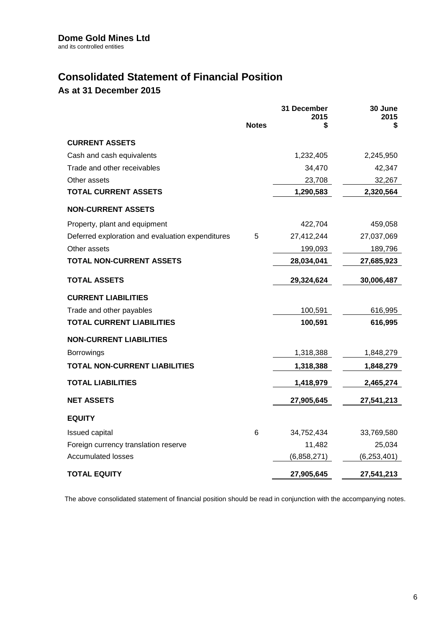# **Consolidated Statement of Financial Position**

**As at 31 December 2015**

|                                                  |              | 31 December<br>2015 | 30 June<br>2015 |
|--------------------------------------------------|--------------|---------------------|-----------------|
|                                                  | <b>Notes</b> | S                   | \$              |
| <b>CURRENT ASSETS</b>                            |              |                     |                 |
| Cash and cash equivalents                        |              | 1,232,405           | 2,245,950       |
| Trade and other receivables                      |              | 34,470              | 42,347          |
| Other assets                                     |              | 23,708              | 32,267          |
| <b>TOTAL CURRENT ASSETS</b>                      |              | 1,290,583           | 2,320,564       |
| <b>NON-CURRENT ASSETS</b>                        |              |                     |                 |
| Property, plant and equipment                    |              | 422,704             | 459,058         |
| Deferred exploration and evaluation expenditures | 5            | 27,412,244          | 27,037,069      |
| Other assets                                     |              | 199,093             | 189,796         |
| <b>TOTAL NON-CURRENT ASSETS</b>                  |              | 28,034,041          | 27,685,923      |
| <b>TOTAL ASSETS</b>                              |              | 29,324,624          | 30,006,487      |
| <b>CURRENT LIABILITIES</b>                       |              |                     |                 |
| Trade and other payables                         |              | 100,591             | 616,995         |
| <b>TOTAL CURRENT LIABILITIES</b>                 |              | 100,591             | 616,995         |
| <b>NON-CURRENT LIABILITIES</b>                   |              |                     |                 |
| <b>Borrowings</b>                                |              | 1,318,388           | 1,848,279       |
| <b>TOTAL NON-CURRENT LIABILITIES</b>             |              | 1,318,388           | 1,848,279       |
| <b>TOTAL LIABILITIES</b>                         |              | 1,418,979           | 2,465,274       |
| <b>NET ASSETS</b>                                |              | 27,905,645          | 27,541,213      |
| <b>EQUITY</b>                                    |              |                     |                 |
| <b>Issued capital</b>                            | 6            | 34,752,434          | 33,769,580      |
| Foreign currency translation reserve             |              | 11,482              | 25,034          |
| <b>Accumulated losses</b>                        |              | (6,858,271)         | (6, 253, 401)   |
| <b>TOTAL EQUITY</b>                              |              | 27,905,645          | 27,541,213      |

The above consolidated statement of financial position should be read in conjunction with the accompanying notes.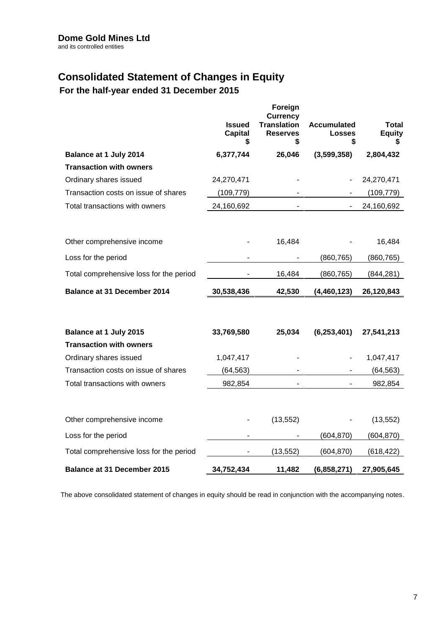# **Consolidated Statement of Changes in Equity**

**For the half-year ended 31 December 2015**

|                                         | <b>Issued</b><br><b>Capital</b><br>\$ | Foreign<br><b>Currency</b><br><b>Translation</b><br><b>Reserves</b><br>\$ | <b>Accumulated</b><br><b>Losses</b><br>\$ | <b>Total</b><br><b>Equity</b> |
|-----------------------------------------|---------------------------------------|---------------------------------------------------------------------------|-------------------------------------------|-------------------------------|
| Balance at 1 July 2014                  | 6,377,744                             | 26,046                                                                    | (3,599,358)                               | 2,804,432                     |
| <b>Transaction with owners</b>          |                                       |                                                                           |                                           |                               |
| Ordinary shares issued                  | 24,270,471                            |                                                                           |                                           | 24,270,471                    |
| Transaction costs on issue of shares    | (109, 779)                            |                                                                           |                                           | (109, 779)                    |
| Total transactions with owners          | 24,160,692                            | $\blacksquare$                                                            | $\blacksquare$                            | 24,160,692                    |
| Other comprehensive income              |                                       | 16,484                                                                    |                                           | 16,484                        |
| Loss for the period                     |                                       |                                                                           | (860, 765)                                | (860, 765)                    |
| Total comprehensive loss for the period |                                       | 16,484                                                                    | (860, 765)                                | (844, 281)                    |
| <b>Balance at 31 December 2014</b>      | 30,538,436                            | 42,530                                                                    | (4, 460, 123)                             | 26,120,843                    |
| Balance at 1 July 2015                  | 33,769,580                            | 25,034                                                                    | (6, 253, 401)                             | 27,541,213                    |
| <b>Transaction with owners</b>          |                                       |                                                                           |                                           |                               |
| Ordinary shares issued                  | 1,047,417                             |                                                                           |                                           | 1,047,417                     |
| Transaction costs on issue of shares    | (64, 563)                             |                                                                           |                                           | (64, 563)                     |
| Total transactions with owners          | 982,854                               | $\blacksquare$                                                            |                                           | 982,854                       |
| Other comprehensive income              |                                       | (13, 552)                                                                 |                                           | (13, 552)                     |
| Loss for the period                     |                                       |                                                                           | (604, 870)                                | (604, 870)                    |
| Total comprehensive loss for the period |                                       | (13, 552)                                                                 | (604, 870)                                | (618, 422)                    |
| Balance at 31 December 2015             | 34,752,434                            | 11,482                                                                    | (6,858,271)                               | 27,905,645                    |

The above consolidated statement of changes in equity should be read in conjunction with the accompanying notes.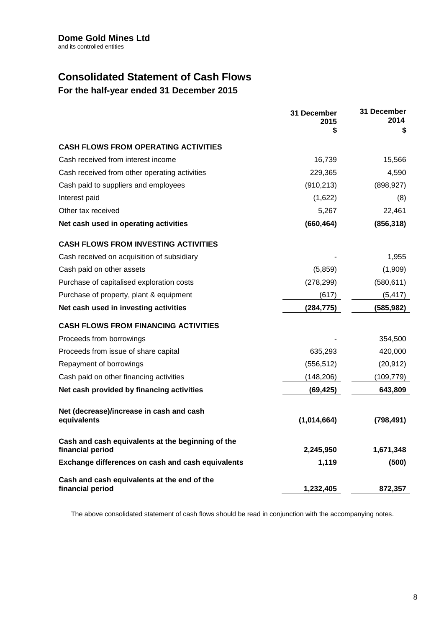# **Consolidated Statement of Cash Flows**

**For the half-year ended 31 December 2015**

|                                                                 | 31 December<br>2015 | 31 December<br>2014 |
|-----------------------------------------------------------------|---------------------|---------------------|
|                                                                 | \$                  | \$                  |
| <b>CASH FLOWS FROM OPERATING ACTIVITIES</b>                     |                     |                     |
| Cash received from interest income                              | 16,739              | 15,566              |
| Cash received from other operating activities                   | 229,365             | 4,590               |
| Cash paid to suppliers and employees                            | (910, 213)          | (898, 927)          |
| Interest paid                                                   | (1,622)             | (8)                 |
| Other tax received                                              | 5,267               | 22,461              |
| Net cash used in operating activities                           | (660, 464)          | (856, 318)          |
| <b>CASH FLOWS FROM INVESTING ACTIVITIES</b>                     |                     |                     |
| Cash received on acquisition of subsidiary                      |                     | 1,955               |
| Cash paid on other assets                                       | (5,859)             | (1,909)             |
| Purchase of capitalised exploration costs                       | (278, 299)          | (580, 611)          |
| Purchase of property, plant & equipment                         | (617)               | (5, 417)            |
| Net cash used in investing activities                           | (284, 775)          | (585, 982)          |
| <b>CASH FLOWS FROM FINANCING ACTIVITIES</b>                     |                     |                     |
| Proceeds from borrowings                                        |                     | 354,500             |
| Proceeds from issue of share capital                            | 635,293             | 420,000             |
| Repayment of borrowings                                         | (556, 512)          | (20, 912)           |
| Cash paid on other financing activities                         | (148, 206)          | (109, 779)          |
| Net cash provided by financing activities                       | (69, 425)           | 643,809             |
| Net (decrease)/increase in cash and cash                        |                     |                     |
| equivalents                                                     | (1,014,664)         | (798, 491)          |
| Cash and cash equivalents at the beginning of the               |                     |                     |
| financial period                                                | 2,245,950           | 1,671,348           |
| Exchange differences on cash and cash equivalents               | 1,119               | (500)               |
| Cash and cash equivalents at the end of the<br>financial period | 1,232,405           | 872,357             |

The above consolidated statement of cash flows should be read in conjunction with the accompanying notes.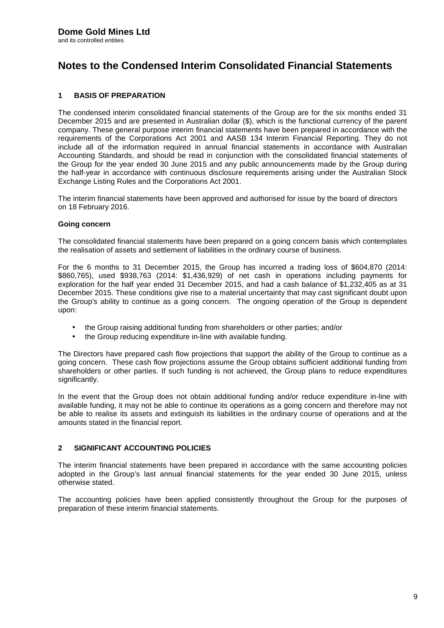# **Notes to the Condensed Interim Consolidated Financial Statements**

## **1 BASIS OF PREPARATION**

The condensed interim consolidated financial statements of the Group are for the six months ended 31 December 2015 and are presented in Australian dollar (\$), which is the functional currency of the parent company. These general purpose interim financial statements have been prepared in accordance with the requirements of the Corporations Act 2001 and AASB 134 Interim Financial Reporting. They do not include all of the information required in annual financial statements in accordance with Australian Accounting Standards, and should be read in conjunction with the consolidated financial statements of the Group for the year ended 30 June 2015 and any public announcements made by the Group during the half-year in accordance with continuous disclosure requirements arising under the Australian Stock Exchange Listing Rules and the Corporations Act 2001.

The interim financial statements have been approved and authorised for issue by the board of directors on 18 February 2016.

### **Going concern**

The consolidated financial statements have been prepared on a going concern basis which contemplates the realisation of assets and settlement of liabilities in the ordinary course of business.

For the 6 months to 31 December 2015, the Group has incurred a trading loss of \$604,870 (2014: \$860,765), used \$938,763 (2014: \$1,436,929) of net cash in operations including payments for exploration for the half year ended 31 December 2015, and had a cash balance of \$1,232,405 as at 31 December 2015. These conditions give rise to a material uncertainty that may cast significant doubt upon the Group's ability to continue as a going concern. The ongoing operation of the Group is dependent upon:

- the Group raising additional funding from shareholders or other parties; and/or
- the Group reducing expenditure in-line with available funding.

The Directors have prepared cash flow projections that support the ability of the Group to continue as a going concern. These cash flow projections assume the Group obtains sufficient additional funding from shareholders or other parties. If such funding is not achieved, the Group plans to reduce expenditures significantly.

In the event that the Group does not obtain additional funding and/or reduce expenditure in-line with available funding, it may not be able to continue its operations as a going concern and therefore may not be able to realise its assets and extinguish its liabilities in the ordinary course of operations and at the amounts stated in the financial report.

## **2 SIGNIFICANT ACCOUNTING POLICIES**

The interim financial statements have been prepared in accordance with the same accounting policies adopted in the Group's last annual financial statements for the year ended 30 June 2015, unless otherwise stated.

The accounting policies have been applied consistently throughout the Group for the purposes of preparation of these interim financial statements.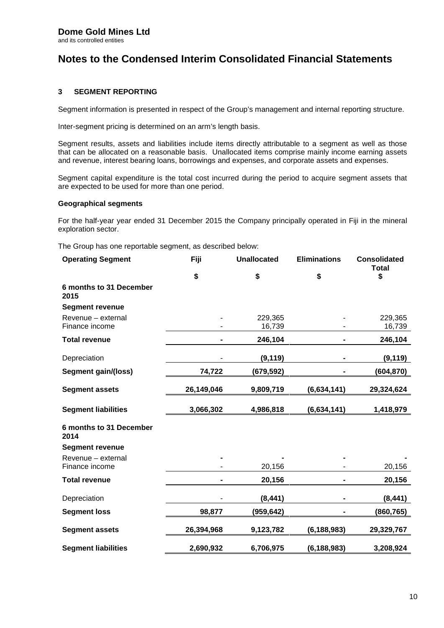# **Notes to the Condensed Interim Consolidated Financial Statements**

## **3 SEGMENT REPORTING**

Segment information is presented in respect of the Group's management and internal reporting structure.

Inter-segment pricing is determined on an arm's length basis.

Segment results, assets and liabilities include items directly attributable to a segment as well as those that can be allocated on a reasonable basis. Unallocated items comprise mainly income earning assets and revenue, interest bearing loans, borrowings and expenses, and corporate assets and expenses.

Segment capital expenditure is the total cost incurred during the period to acquire segment assets that are expected to be used for more than one period.

### **Geographical segments**

For the half-year year ended 31 December 2015 the Company principally operated in Fiji in the mineral exploration sector.

The Group has one reportable segment, as described below:

| <b>Operating Segment</b>        | Fiji       | <b>Unallocated</b> | <b>Eliminations</b> | <b>Consolidated</b><br><b>Total</b> |
|---------------------------------|------------|--------------------|---------------------|-------------------------------------|
|                                 | \$         | \$                 | \$                  | \$                                  |
| 6 months to 31 December<br>2015 |            |                    |                     |                                     |
| <b>Segment revenue</b>          |            |                    |                     |                                     |
| Revenue - external              |            | 229,365            |                     | 229,365                             |
| Finance income                  |            | 16,739             |                     | 16,739                              |
| <b>Total revenue</b>            |            | 246,104            |                     | 246,104                             |
| Depreciation                    |            | (9, 119)           |                     | (9, 119)                            |
| Segment gain/(loss)             | 74,722     | (679, 592)         |                     | (604, 870)                          |
| <b>Segment assets</b>           | 26,149,046 | 9,809,719          | (6,634,141)         | 29,324,624                          |
| <b>Segment liabilities</b>      | 3,066,302  | 4,986,818          | (6,634,141)         | 1,418,979                           |
| 6 months to 31 December<br>2014 |            |                    |                     |                                     |
| <b>Segment revenue</b>          |            |                    |                     |                                     |
| Revenue - external              |            |                    |                     |                                     |
| Finance income                  |            | 20,156             |                     | 20,156                              |
| <b>Total revenue</b>            |            | 20,156             |                     | 20,156                              |
| Depreciation                    |            | (8, 441)           |                     | (8, 441)                            |
| <b>Segment loss</b>             | 98,877     | (959, 642)         |                     | (860, 765)                          |
| <b>Segment assets</b>           | 26,394,968 | 9,123,782          | (6, 188, 983)       | 29,329,767                          |
| <b>Segment liabilities</b>      | 2,690,932  | 6,706,975          | (6, 188, 983)       | 3,208,924                           |
|                                 |            |                    |                     |                                     |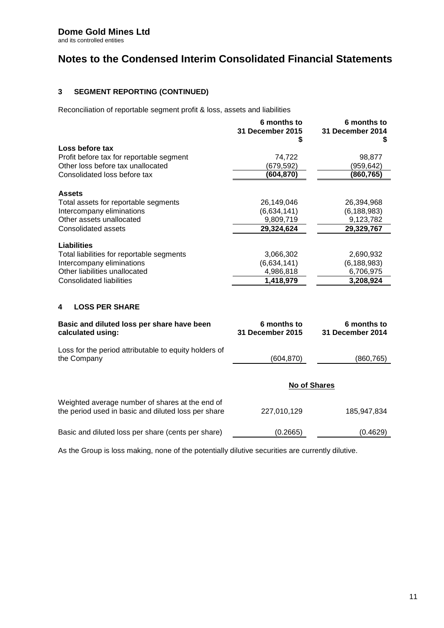# **Dome Gold Mines Ltd**

and its controlled entities

# **Notes to the Condensed Interim Consolidated Financial Statements**

## **3 SEGMENT REPORTING (CONTINUED)**

Reconciliation of reportable segment profit & loss, assets and liabilities

|                                                                                                        | 6 months to<br><b>31 December 2015</b><br>S | 6 months to<br>31 December 2014<br>S |
|--------------------------------------------------------------------------------------------------------|---------------------------------------------|--------------------------------------|
| Loss before tax                                                                                        |                                             |                                      |
| Profit before tax for reportable segment                                                               | 74,722                                      | 98,877                               |
| Other loss before tax unallocated                                                                      | (679, 592)                                  | (959, 642)                           |
| Consolidated loss before tax                                                                           | (604, 870)                                  | (860,765)                            |
| <b>Assets</b>                                                                                          |                                             |                                      |
| Total assets for reportable segments                                                                   | 26,149,046                                  | 26,394,968                           |
| Intercompany eliminations                                                                              | (6,634,141)                                 | (6, 188, 983)                        |
| Other assets unallocated                                                                               | 9,809,719                                   | 9,123,782                            |
| <b>Consolidated assets</b>                                                                             | 29,324,624                                  | 29,329,767                           |
| <b>Liabilities</b>                                                                                     |                                             |                                      |
| Total liabilities for reportable segments                                                              | 3,066,302                                   | 2,690,932                            |
| Intercompany eliminations                                                                              | (6,634,141)                                 | (6, 188, 983)                        |
| Other liabilities unallocated                                                                          | 4,986,818                                   | 6,706,975                            |
| <b>Consolidated liabilities</b>                                                                        | 1,418,979                                   | 3,208,924                            |
| <b>LOSS PER SHARE</b><br>4                                                                             |                                             |                                      |
| Basic and diluted loss per share have been<br>calculated using:                                        | 6 months to<br>31 December 2015             | 6 months to<br>31 December 2014      |
| Loss for the period attributable to equity holders of<br>the Company                                   | (604, 870)                                  | (860, 765)                           |
|                                                                                                        | No of Shares                                |                                      |
| Weighted average number of shares at the end of<br>the period used in basic and diluted loss per share | 227,010,129                                 | 185,947,834                          |
| Basic and diluted loss per share (cents per share)                                                     | (0.2665)                                    | (0.4629)                             |
|                                                                                                        |                                             |                                      |

As the Group is loss making, none of the potentially dilutive securities are currently dilutive.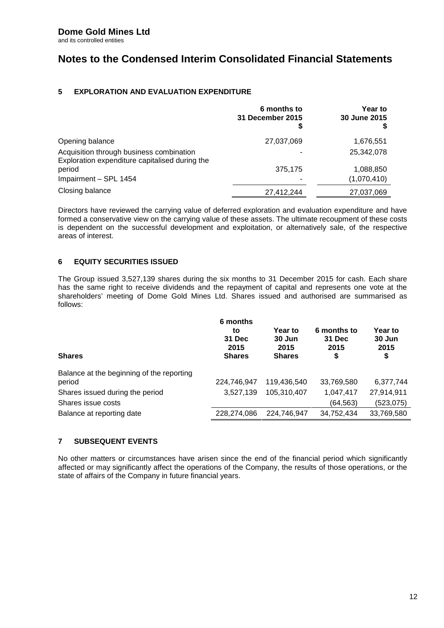# **Notes to the Condensed Interim Consolidated Financial Statements**

## **5 EXPLORATION AND EVALUATION EXPENDITURE**

|                                                                                            | 6 months to<br>31 December 2015<br>2 | Year to<br>30 June 2015<br>\$ |  |
|--------------------------------------------------------------------------------------------|--------------------------------------|-------------------------------|--|
| Opening balance                                                                            | 27,037,069                           | 1,676,551                     |  |
| Acquisition through business combination<br>Exploration expenditure capitalised during the |                                      | 25,342,078                    |  |
| period                                                                                     | 375,175                              | 1,088,850                     |  |
| Impairment - SPL 1454                                                                      |                                      | (1,070,410)                   |  |
| Closing balance                                                                            | 27,412,244                           | 27,037,069                    |  |

Directors have reviewed the carrying value of deferred exploration and evaluation expenditure and have formed a conservative view on the carrying value of these assets. The ultimate recoupment of these costs is dependent on the successful development and exploitation, or alternatively sale, of the respective areas of interest.

## **6 EQUITY SECURITIES ISSUED**

The Group issued 3,527,139 shares during the six months to 31 December 2015 for cash. Each share has the same right to receive dividends and the repayment of capital and represents one vote at the shareholders' meeting of Dome Gold Mines Ltd. Shares issued and authorised are summarised as follows:

| <b>Shares</b>                             | 6 months<br>to<br>31 Dec<br>2015<br><b>Shares</b> | Year to<br>$30$ Jun<br>2015<br><b>Shares</b> | 6 months to<br>31 Dec<br>2015<br>\$ | Year to<br>30 Jun<br>2015<br>\$ |
|-------------------------------------------|---------------------------------------------------|----------------------------------------------|-------------------------------------|---------------------------------|
| Balance at the beginning of the reporting |                                                   |                                              |                                     |                                 |
| period                                    | 224,746,947                                       | 119,436,540                                  | 33,769,580                          | 6,377,744                       |
| Shares issued during the period           | 3.527.139                                         | 105,310,407                                  | 1,047,417                           | 27,914,911                      |
| Shares issue costs                        |                                                   |                                              | (64, 563)                           | (523, 075)                      |
| Balance at reporting date                 | 228,274,086                                       | 224.746.947                                  | 34,752,434                          | 33,769,580                      |

## **7 SUBSEQUENT EVENTS**

No other matters or circumstances have arisen since the end of the financial period which significantly affected or may significantly affect the operations of the Company, the results of those operations, or the state of affairs of the Company in future financial years.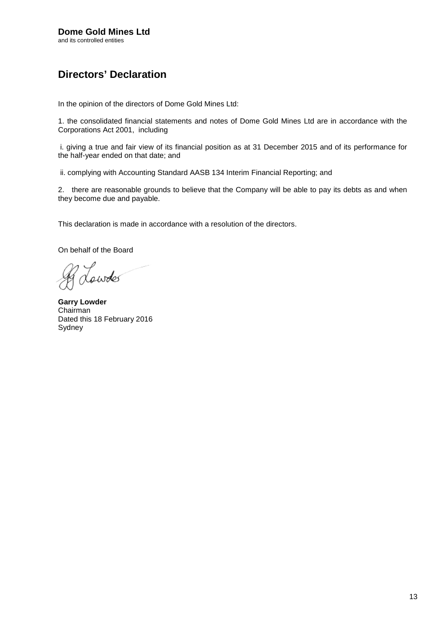# Directors€ Declaration

In the opinion of the directors of Dome Gold Mines Ltd:

1. the consolidated financial statements and notes of Dome Gold Mines Ltd are in accordance with the Corporations Act 2001, including

i. giving a true and fair view of its financial position as at 31 December 2015 and of its performance for the half-year ended on that date; and

ii. complying with Accounting Standard AASB 134 Interim Financial Reporting; and

2. there are reasonable grounds to believe that the Company will be able to pay its debts as and when they become due and payable.

This declaration is made in accordance with a resolution of the directors.

On behalf of the Board

Garry Lowder Chairman Dated this 18 February 2016 Sydney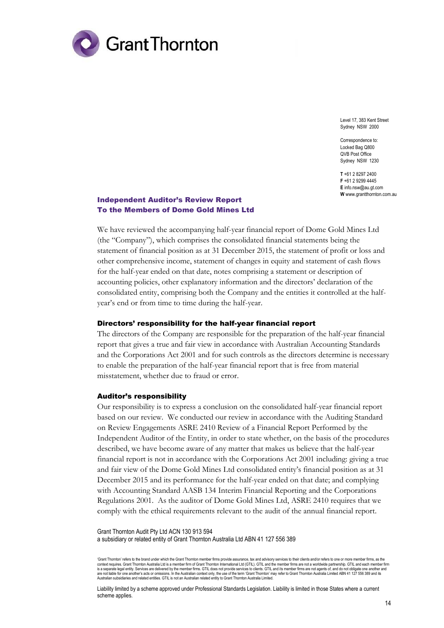

Level 17, 383 Kent Street Sydney NSW 2000

Correspondence to: Locked Bag Q800 QVB Post Office Sydney NSW 1230

**T** +61 2 8297 2400 **F** +61 2 9299 4445 **E** info.nsw@au.gt.com **W** www.grantthornton.com.au

## Independent Auditor's Review Report To the Members of Dome Gold Mines Ltd

We have reviewed the accompanying half-year financial report of Dome Gold Mines Ltd (the "Company"), which comprises the consolidated financial statements being the statement of financial position as at 31 December 2015, the statement of profit or loss and other comprehensive income, statement of changes in equity and statement of cash flows for the half-year ended on that date, notes comprising a statement or description of accounting policies, other explanatory information and the directors' declaration of the consolidated entity, comprising both the Company and the entities it controlled at the halfyear's end or from time to time during the half-year.

### Directors' responsibility for the half-year financial report

The directors of the Company are responsible for the preparation of the half-year financial report that gives a true and fair view in accordance with Australian Accounting Standards and the Corporations Act 2001 and for such controls as the directors determine is necessary to enable the preparation of the half-year financial report that is free from material misstatement, whether due to fraud or error.

### Auditor's responsibility

Our responsibility is to express a conclusion on the consolidated half-year financial report based on our review. We conducted our review in accordance with the Auditing Standard on Review Engagements ASRE 2410 Review of a Financial Report Performed by the Independent Auditor of the Entity, in order to state whether, on the basis of the procedures described, we have become aware of any matter that makes us believe that the half-year financial report is not in accordance with the Corporations Act 2001 including: giving a true and fair view of the Dome Gold Mines Ltd consolidated entity's financial position as at 31 December 2015 and its performance for the half-year ended on that date; and complying with Accounting Standard AASB 134 Interim Financial Reporting and the Corporations Regulations 2001. As the auditor of Dome Gold Mines Ltd, ASRE 2410 requires that we comply with the ethical requirements relevant to the audit of the annual financial report.

Grant Thornton Audit Pty Ltd ACN 130 913 594 a subsidiary or related entity of Grant Thornton Australia Ltd ABN 41 127 556 389

'Grant Thornton' refers to the brand under which the Grant Thornton member firms provide assurance, tax and advisory services to their clients and/or refers to one or more member firms, as the context requires. Grant Thornton Australia Ltd is a member firm of Grant Thornton International Ltd (GTIL). GTIL and the member firms are not a worldwide partnership. GTIL and each member firm<br>is a separate legal entity. S Australian subsidiaries and related entities. GTIL is not an Australian related entity to Grant Thornton Australia Limited.

Liability limited by a scheme approved under Professional Standards Legislation. Liability is limited in those States where a current scheme applies.